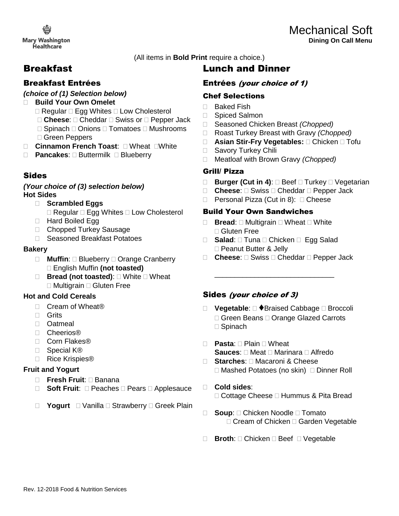**Mary Washington Healthcare** 

(All items in **Bold Print** require a choice.)

# Breakfast

## Breakfast Entrées

### *(choice of (1) Selection below)*

- **Build Your Own Omelet** 
	- $\Box$  Regular  $\Box$  Egg Whites  $\Box$  Low Cholesterol
	- □ Cheese: □ Cheddar □ Swiss or □ Pepper Jack
	- □ Spinach □ Onions □ Tomatoes □ Mushrooms Green Peppers
- □ Cinnamon French Toast: □ Wheat □ White
- **Pancakes: Buttermilk Blueberry**

## Sides

#### *(Your choice of (3) selection below)* **Hot Sides**

- **Scrambled Eggs** 
	- $\Box$  Regular  $\Box$  Egg Whites  $\Box$  Low Cholesterol
- □ Hard Boiled Egg
- □ Chopped Turkey Sausage
- □ Seasoned Breakfast Potatoes

### **Bakery**

- □ **Muffin**: □ Blueberry □ Orange Cranberry English Muffin **(not toasted)**
- □ **Bread (not toasted)**: □ White □ Wheat  $\Box$  Multigrain  $\Box$  Gluten Free

### **Hot and Cold Cereals**

- □ Cream of Wheat®
- □ Grits
- □ Oatmeal
- □ Cheerios®
- □ Corn Flakes®
- □ Special K<sup>®</sup>
- □ Rice Krispies®

### **Fruit and Yogurt**

- □ Fresh Fruit: □ Banana
- □ **Soft Fruit**: □ Peaches □ Pears □ Applesauce
- □ **Yogurt** □ Vanilla □ Strawberry □ Greek Plain

## Lunch and Dinner

## Entrées (your choice of 1)

## Chef Selections

- □ Baked Fish
- □ Spiced Salmon
- Seasoned Chicken Breast *(Chopped)*
- Roast Turkey Breast with Gravy *(Chopped)*
- □ **Asian Stir-Fry Vegetables:** □ Chicken □ Tofu
- □ Savory Turkey Chili
- Meatloaf with Brown Gravy *(Chopped)*

### Grill/ Pizza

- □ **Burger (Cut in 4)**: □ Beef □ Turkey □ Vegetarian
- □ **Cheese**: □ Swiss □ Cheddar □ Pepper Jack
- $\Box$  Personal Pizza (Cut in 8):  $\Box$  Cheese

### Build Your Own Sandwiches

- $\Box$  **Bread:**  $\Box$  Multigrain  $\Box$  Wheat  $\Box$  White Gluten Free
- □ Salad: □ Tuna □ Chicken □ Egg Salad □ Peanut Butter & Jelly
- □ **Cheese**: □ Swiss □ Cheddar □ Pepper Jack

\_\_\_\_\_\_\_\_\_\_\_\_\_\_\_\_\_\_\_\_\_\_\_\_\_\_\_\_\_\_

## Sides (your choice of 3)

- **Vegetable**: ♦Braised Cabbage Broccoli □ Green Beans □ Orange Glazed Carrots  $\Box$  Spinach
- **Pasta**: Plain Wheat **Sauces:** □ Meat □ Marinara □ Alfredo
- **Starches**: Macaroni & Cheese  $\Box$  Mashed Potatoes (no skin)  $\Box$  Dinner Roll
- **Cold sides**:  $\Box$  Cottage Cheese  $\Box$  Hummus & Pita Bread
- □ **Soup**: □ Chicken Noodle □ Tomato  $\Box$  Cream of Chicken  $\Box$  Garden Vegetable
- □ **Broth**: □ Chicken □ Beef □ Vegetable